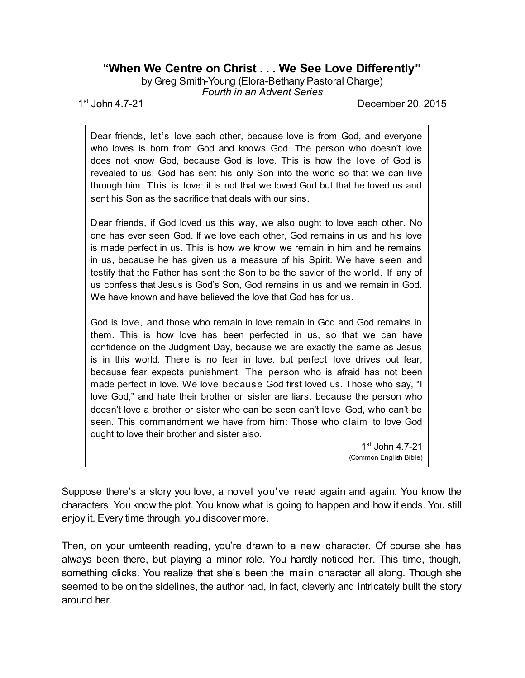## **"When We Centre on Christ . . . We See Love Differently"**

by Greg Smith-Young (Elora-Bethany Pastoral Charge) *Fourth in an Advent Series*

 $1^{st}$  John 4.7-21

December 20, 2015

Dear friends, let's love each other, because love is from God, and everyone who loves is born from God and knows God. The person who doesn't love does not know God, because God is love. This is how the love of God is revealed to us: God has sent his only Son into the world so that we can live through him. This is love: it is not that we loved God but that he loved us and sent his Son as the sacrifice that deals with our sins.

Dear friends, if God loved us this way, we also ought to love each other. No one has ever seen God. If we love each other, God remains in us and his love is made perfect in us. This is how we know we remain in him and he remains in us, because he has given us a measure of his Spirit. We have seen and testify that the Father has sent the Son to be the savior of the world. If any of us confess that Jesus is God's Son, God remains in us and we remain in God. We have known and have believed the love that God has for us.

God is love, and those who remain in love remain in God and God remains in them. This is how love has been perfected in us, so that we can have confidence on the Judgment Day, because we are exactly the same as Jesus is in this world. There is no fear in love, but perfect love drives out fear, because fear expects punishment. The person who is afraid has not been made perfect in love. We love because God first loved us. Those who say, "I love God," and hate their brother or sister are liars, because the person who doesn't love a brother or sister who can be seen can't love God, who can't be seen. This commandment we have from him: Those who claim to love God ought to love their brother and sister also.

> 1 st John 4.7-21 (Common English Bible)

Suppose there's a story you love, a novel you've read again and again. You know the characters. You know the plot. You know what is going to happen and how it ends. You still enjoy it. Every time through, you discover more.

Then, on your umteenth reading, you're drawn to a new character. Of course she has always been there, but playing a minor role. You hardly noticed her. This time, though, something clicks. You realize that she's been the main character all along. Though she seemed to be on the sidelines, the author had, in fact, cleverly and intricately built the story around her.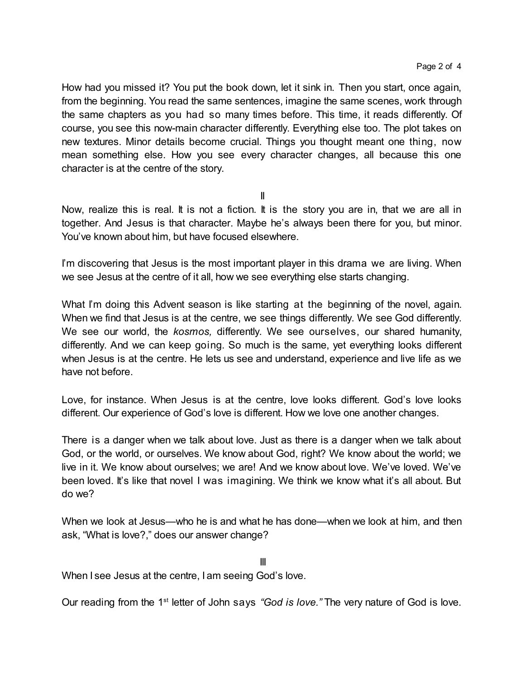How had you missed it? You put the book down, let it sink in. Then you start, once again, from the beginning. You read the same sentences, imagine the same scenes, work through the same chapters as you had so many times before. This time, it reads differently. Of course, you see this now-main character differently. Everything else too. The plot takes on new textures. Minor details become crucial. Things you thought meant one thing, now mean something else. How you see every character changes, all because this one character is at the centre of the story.

II

Now, realize this is real. It is not a fiction. It is the story you are in, that we are all in together. And Jesus is that character. Maybe he's always been there for you, but minor. You've known about him, but have focused elsewhere.

I'm discovering that Jesus is the most important player in this drama we are living. When we see Jesus at the centre of it all, how we see everything else starts changing.

What I'm doing this Advent season is like starting at the beginning of the novel, again. When we find that Jesus is at the centre, we see things differently. We see God differently. We see our world, the *kosmos,* differently. We see ourselves, our shared humanity, differently. And we can keep going. So much is the same, yet everything looks different when Jesus is at the centre. He lets us see and understand, experience and live life as we have not before.

Love, for instance. When Jesus is at the centre, love looks different. God's love looks different. Our experience of God's love is different. How we love one another changes.

There is a danger when we talk about love. Just as there is a danger when we talk about God, or the world, or ourselves. We know about God, right? We know about the world; we live in it. We know about ourselves; we are! And we know about love. We've loved. We've been loved. It's like that novel I was imagining. We think we know what it's all about. But do we?

When we look at Jesus—who he is and what he has done—when we look at him, and then ask, "What is love?," does our answer change?

III When I see Jesus at the centre, I am seeing God's love.

Our reading from the 1<sup>st</sup> letter of John says "God is love." The very nature of God is love.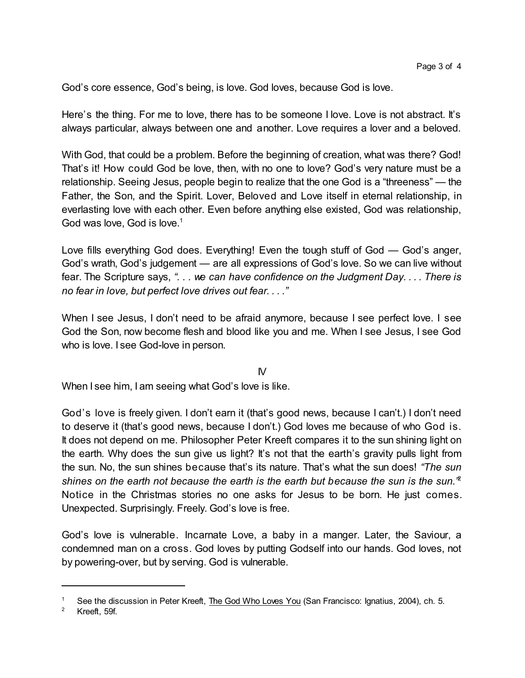God's core essence, God's being, is love. God loves, because God is love.

Here's the thing. For me to love, there has to be someone I love. Love is not abstract. It's always particular, always between one and another. Love requires a lover and a beloved.

With God, that could be a problem. Before the beginning of creation, what was there? God! That's it! How could God be love, then, with no one to love? God's very nature must be a relationship. Seeing Jesus, people begin to realize that the one God is a "threeness" — the Father, the Son, and the Spirit. Lover, Beloved and Love itself in eternal relationship, in everlasting love with each other. Even before anything else existed, God was relationship, God was love, God is love.<sup>1</sup>

Love fills everything God does. Everything! Even the tough stuff of God — God's anger, God's wrath, God's judgement — are all expressions of God's love. So we can live without fear. The Scripture says, *". . . we can have confidence on the Judgment Day. . . . There is no fear in love, but perfect love drives out fear. . . ."*

When I see Jesus, I don't need to be afraid anymore, because I see perfect love. I see God the Son, now become flesh and blood like you and me. When I see Jesus, I see God who is love. I see God-love in person.

## $\mathsf{N}$

When I see him, I am seeing what God's love is like.

God's love is freely given. I don't earn it (that's good news, because I can't.) I don't need to deserve it (that's good news, because I don't.) God loves me because of who God is. It does not depend on me. Philosopher Peter Kreeft compares it to the sun shining light on the earth. Why does the sun give us light? It's not that the earth's gravity pulls light from the sun. No, the sun shines because that's its nature. That's what the sun does! *"The sun shines on the earth not because the earth is the earth but because the sun is the sun."* 2 Notice in the Christmas stories no one asks for Jesus to be born. He just comes. Unexpected. Surprisingly. Freely. God's love is free.

God's love is vulnerable. Incarnate Love, a baby in a manger. Later, the Saviour, a condemned man on a cross. God loves by putting Godself into our hands. God loves, not by powering-over, but by serving. God is vulnerable.

See the discussion in Peter Kreeft, The God Who Loves You (San Francisco: Ignatius, 2004), ch. 5.

<sup>2</sup> Kreeft, 59f.